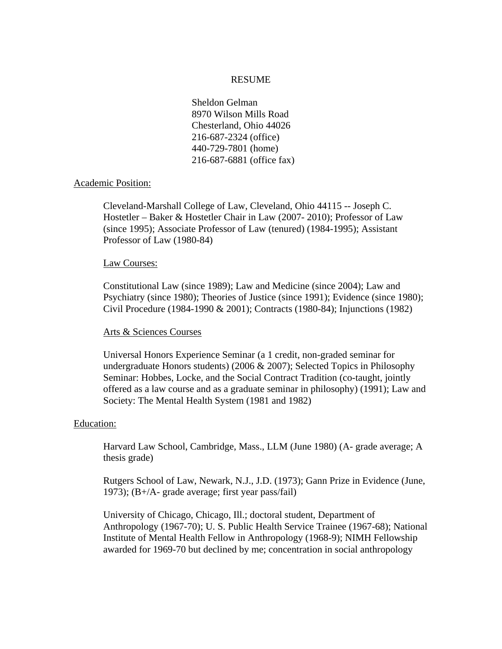#### RESUME

Sheldon Gelman 8970 Wilson Mills Road Chesterland, Ohio 44026 216-687-2324 (office) 440-729-7801 (home) 216-687-6881 (office fax)

#### Academic Position:

Cleveland-Marshall College of Law, Cleveland, Ohio 44115 -- Joseph C. Hostetler – Baker & Hostetler Chair in Law (2007- 2010); Professor of Law (since 1995); Associate Professor of Law (tenured) (1984-1995); Assistant Professor of Law (1980-84)

#### Law Courses:

Constitutional Law (since 1989); Law and Medicine (since 2004); Law and Psychiatry (since 1980); Theories of Justice (since 1991); Evidence (since 1980); Civil Procedure (1984-1990 & 2001); Contracts (1980-84); Injunctions (1982)

#### Arts & Sciences Courses

Universal Honors Experience Seminar (a 1 credit, non-graded seminar for undergraduate Honors students) (2006 & 2007); Selected Topics in Philosophy Seminar: Hobbes, Locke, and the Social Contract Tradition (co-taught, jointly offered as a law course and as a graduate seminar in philosophy) (1991); Law and Society: The Mental Health System (1981 and 1982)

#### Education:

Harvard Law School, Cambridge, Mass., LLM (June 1980) (A- grade average; A thesis grade)

Rutgers School of Law, Newark, N.J., J.D. (1973); Gann Prize in Evidence (June, 1973); (B+/A- grade average; first year pass/fail)

University of Chicago, Chicago, Ill.; doctoral student, Department of Anthropology (1967-70); U. S. Public Health Service Trainee (1967-68); National Institute of Mental Health Fellow in Anthropology (1968-9); NIMH Fellowship awarded for 1969-70 but declined by me; concentration in social anthropology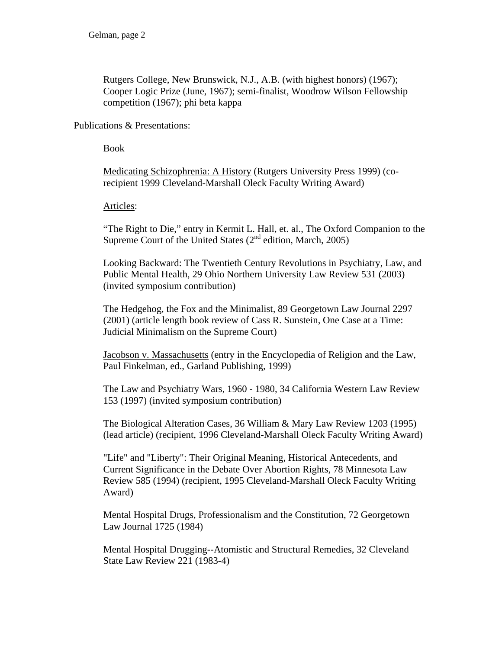Rutgers College, New Brunswick, N.J., A.B. (with highest honors) (1967); Cooper Logic Prize (June, 1967); semi-finalist, Woodrow Wilson Fellowship competition (1967); phi beta kappa

### Publications & Presentations:

## Book

Medicating Schizophrenia: A History (Rutgers University Press 1999) (corecipient 1999 Cleveland-Marshall Oleck Faculty Writing Award)

## Articles:

"The Right to Die," entry in Kermit L. Hall, et. al., The Oxford Companion to the Supreme Court of the United States  $(2^{nd}$  edition, March, 2005)

Looking Backward: The Twentieth Century Revolutions in Psychiatry, Law, and Public Mental Health, 29 Ohio Northern University Law Review 531 (2003) (invited symposium contribution)

The Hedgehog, the Fox and the Minimalist, 89 Georgetown Law Journal 2297 (2001) (article length book review of Cass R. Sunstein, One Case at a Time: Judicial Minimalism on the Supreme Court)

Jacobson v. Massachusetts (entry in the Encyclopedia of Religion and the Law, Paul Finkelman, ed., Garland Publishing, 1999)

The Law and Psychiatry Wars, 1960 - 1980, 34 California Western Law Review 153 (1997) (invited symposium contribution)

The Biological Alteration Cases, 36 William & Mary Law Review 1203 (1995) (lead article) (recipient, 1996 Cleveland-Marshall Oleck Faculty Writing Award)

"Life" and "Liberty": Their Original Meaning, Historical Antecedents, and Current Significance in the Debate Over Abortion Rights, 78 Minnesota Law Review 585 (1994) (recipient, 1995 Cleveland-Marshall Oleck Faculty Writing Award)

Mental Hospital Drugs, Professionalism and the Constitution, 72 Georgetown Law Journal 1725 (1984)

Mental Hospital Drugging--Atomistic and Structural Remedies, 32 Cleveland State Law Review 221 (1983-4)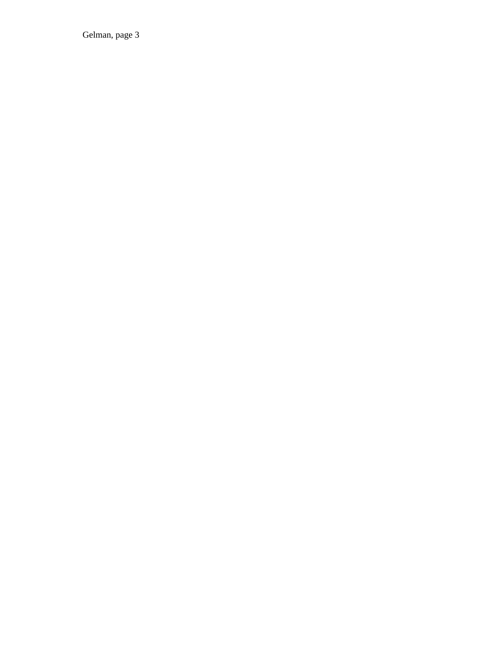Gelman, page 3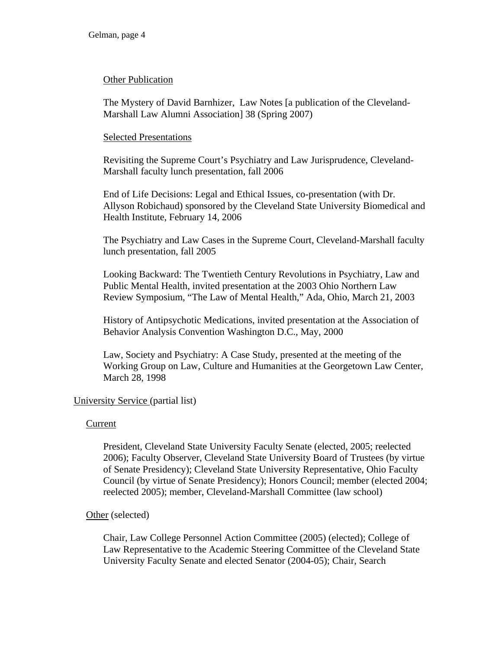### **Other Publication**

The Mystery of David Barnhizer, Law Notes [a publication of the Cleveland-Marshall Law Alumni Association] 38 (Spring 2007)

### Selected Presentations

Revisiting the Supreme Court's Psychiatry and Law Jurisprudence, Cleveland-Marshall faculty lunch presentation, fall 2006

End of Life Decisions: Legal and Ethical Issues, co-presentation (with Dr. Allyson Robichaud) sponsored by the Cleveland State University Biomedical and Health Institute, February 14, 2006

The Psychiatry and Law Cases in the Supreme Court, Cleveland-Marshall faculty lunch presentation, fall 2005

Looking Backward: The Twentieth Century Revolutions in Psychiatry, Law and Public Mental Health, invited presentation at the 2003 Ohio Northern Law Review Symposium, "The Law of Mental Health," Ada, Ohio, March 21, 2003

History of Antipsychotic Medications, invited presentation at the Association of Behavior Analysis Convention Washington D.C., May, 2000

Law, Society and Psychiatry: A Case Study, presented at the meeting of the Working Group on Law, Culture and Humanities at the Georgetown Law Center, March 28, 1998

# University Service (partial list)

# Current

President, Cleveland State University Faculty Senate (elected, 2005; reelected 2006); Faculty Observer, Cleveland State University Board of Trustees (by virtue of Senate Presidency); Cleveland State University Representative, Ohio Faculty Council (by virtue of Senate Presidency); Honors Council; member (elected 2004; reelected 2005); member, Cleveland-Marshall Committee (law school)

# Other (selected)

Chair, Law College Personnel Action Committee (2005) (elected); College of Law Representative to the Academic Steering Committee of the Cleveland State University Faculty Senate and elected Senator (2004-05); Chair, Search